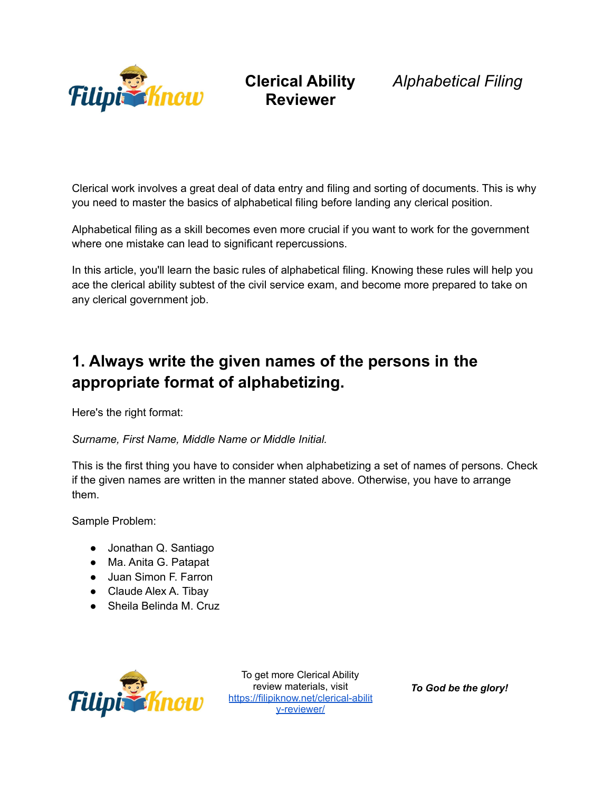

#### **Clerical Ability Reviewer**

*Alphabetical Filing*

Clerical work involves a great deal of data entry and filing and sorting of documents. This is why you need to master the basics of alphabetical filing before landing any clerical position.

Alphabetical filing as a skill becomes even more crucial if you want to work for the government where one mistake can lead to significant repercussions.

In this article, you'll learn the basic rules of alphabetical filing. Knowing these rules will help you ace the clerical ability subtest of the civil service exam, and become more prepared to take on any clerical government job.

## **1. Always write the given names of the persons in the appropriate format of alphabetizing.**

Here's the right format:

*Surname, First Name, Middle Name or Middle Initial.*

This is the first thing you have to consider when alphabetizing a set of names of persons. Check if the given names are written in the manner stated above. Otherwise, you have to arrange them.

Sample Problem:

- Jonathan Q. Santiago
- Ma. Anita G. Patapat
- Juan Simon F. Farron
- Claude Alex A. Tibay
- Sheila Belinda M. Cruz



To get more Clerical Ability review materials, visit [https://filipiknow.net/clerical-abilit](https://filipiknow.net/clerical-ability-reviewer/) [y-reviewer/](https://filipiknow.net/clerical-ability-reviewer/)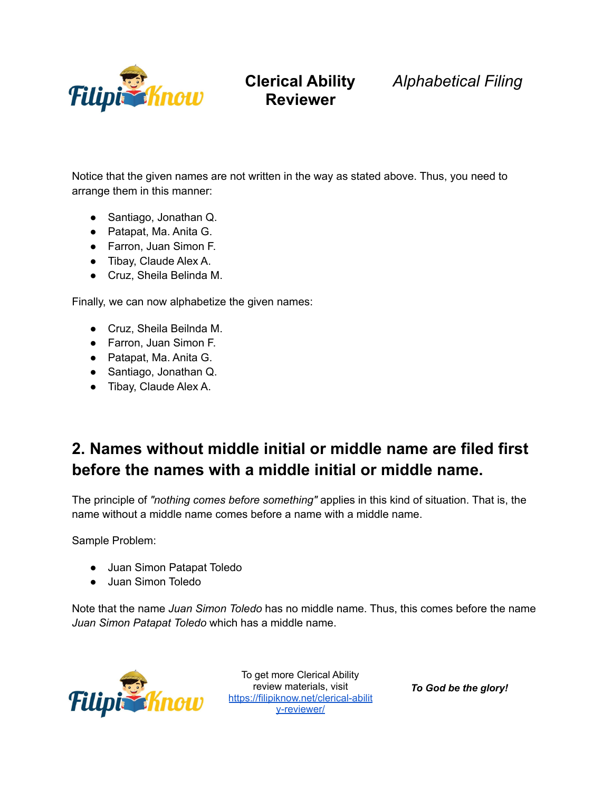

**Clerical Ability** *Alphabetical Filing*

Notice that the given names are not written in the way as stated above. Thus, you need to arrange them in this manner:

- Santiago, Jonathan Q.
- Patapat, Ma. Anita G.
- Farron, Juan Simon F.
- Tibay, Claude Alex A.
- Cruz, Sheila Belinda M.

Finally, we can now alphabetize the given names:

- Cruz, Sheila Beilnda M.
- Farron, Juan Simon F.
- Patapat, Ma. Anita G.
- Santiago, Jonathan Q.
- Tibay, Claude Alex A.

### **2. Names without middle initial or middle name are filed first before the names with a middle initial or middle name.**

The principle of *"nothing comes before something"* applies in this kind of situation. That is, the name without a middle name comes before a name with a middle name.

Sample Problem:

- Juan Simon Patapat Toledo
- Juan Simon Toledo

Note that the name *Juan Simon Toledo* has no middle name. Thus, this comes before the name *Juan Simon Patapat Toledo* which has a middle name.



To get more Clerical Ability review materials, visit [https://filipiknow.net/clerical-abilit](https://filipiknow.net/clerical-ability-reviewer/) [y-reviewer/](https://filipiknow.net/clerical-ability-reviewer/)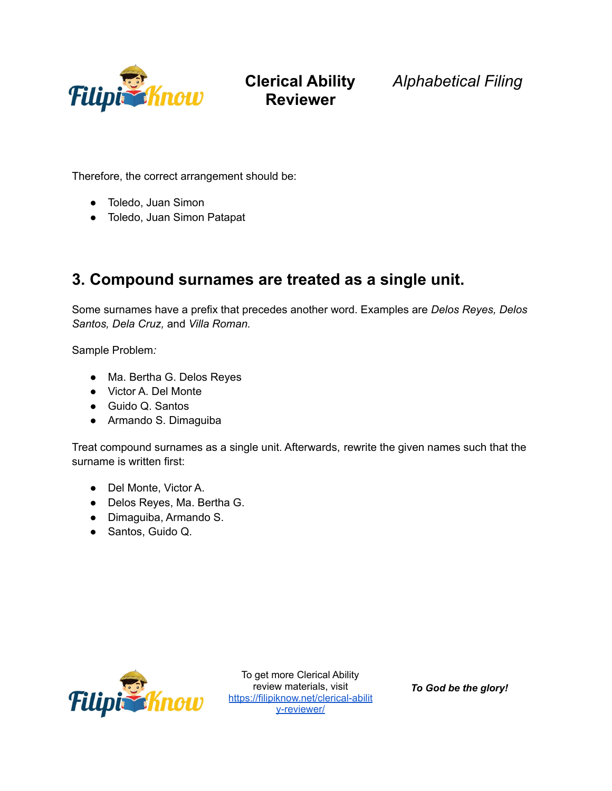

**Clerical Ability** *Alphabetical Filing*

Therefore, the correct arrangement should be:

- Toledo, Juan Simon
- Toledo, Juan Simon Patapat

#### **3. Compound surnames are treated as a single unit.**

Some surnames have a prefix that precedes another word. Examples are *Delos Reyes, Delos Santos, Dela Cruz,* and *Villa Roman.*

Sample Problem*:*

- Ma. Bertha G. Delos Reyes
- Victor A. Del Monte
- Guido Q. Santos
- Armando S. Dimaguiba

Treat compound surnames as a single unit. Afterwards, rewrite the given names such that the surname is written first:

- Del Monte, Victor A.
- Delos Reyes, Ma. Bertha G.
- Dimaguiba, Armando S.
- Santos, Guido Q.



To get more Clerical Ability review materials, visit [https://filipiknow.net/clerical-abilit](https://filipiknow.net/clerical-ability-reviewer/) [y-reviewer/](https://filipiknow.net/clerical-ability-reviewer/)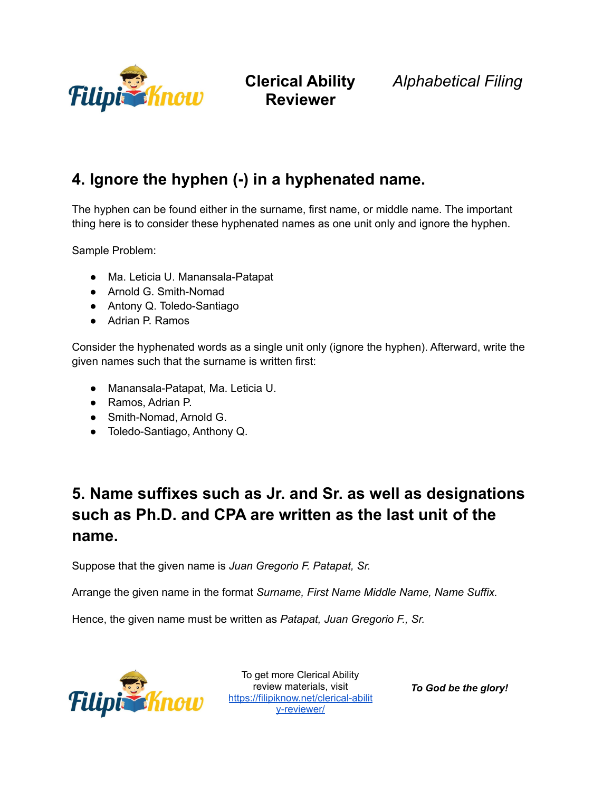

**Clerical Ability** *Alphabetical Filing*

### **4. Ignore the hyphen (-) in a hyphenated name.**

The hyphen can be found either in the surname, first name, or middle name. The important thing here is to consider these hyphenated names as one unit only and ignore the hyphen.

Sample Problem:

- Ma. Leticia U. Manansala-Patapat
- Arnold G. Smith-Nomad
- Antony Q. Toledo-Santiago
- Adrian P. Ramos

Consider the hyphenated words as a single unit only (ignore the hyphen). Afterward, write the given names such that the surname is written first:

- Manansala-Patapat, Ma. Leticia U.
- Ramos, Adrian P.
- Smith-Nomad, Arnold G.
- Toledo-Santiago, Anthony Q.

## **5. Name suffixes such as Jr. and Sr. as well as designations such as Ph.D. and CPA are written as the last unit of the name.**

Suppose that the given name is *Juan Gregorio F. Patapat, Sr.*

Arrange the given name in the format *Surname, First Name Middle Name, Name Suffix.*

Hence, the given name must be written as *Patapat, Juan Gregorio F., Sr.*



To get more Clerical Ability To get more sister.<br>review materials, visit<br>review moticlerical [https://filipiknow.net/clerical-abilit](https://filipiknow.net/clerical-ability-reviewer/) [y-reviewer/](https://filipiknow.net/clerical-ability-reviewer/)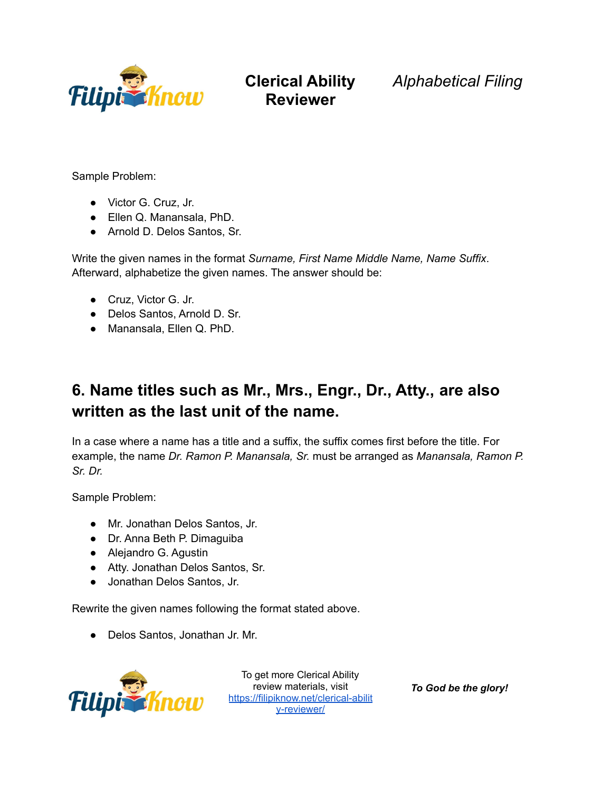

**Clerical Ability** *Alphabetical Filing*

Sample Problem:

- Victor G. Cruz, Jr.
- Ellen Q. Manansala, PhD.
- Arnold D. Delos Santos, Sr.

Write the given names in the format *Surname, First Name Middle Name, Name Suffix*. Afterward, alphabetize the given names. The answer should be:

- Cruz, Victor G. Jr.
- Delos Santos, Arnold D. Sr.
- Manansala, Ellen Q. PhD.

### **6. Name titles such as Mr., Mrs., Engr., Dr., Atty., are also written as the last unit of the name.**

In a case where a name has a title and a suffix, the suffix comes first before the title. For example, the name *Dr. Ramon P. Manansala, Sr.* must be arranged as *Manansala, Ramon P. Sr. Dr.*

Sample Problem:

- Mr. Jonathan Delos Santos, Jr.
- Dr. Anna Beth P. Dimaguiba
- Alejandro G. Agustin
- Atty. Jonathan Delos Santos, Sr.
- Jonathan Delos Santos, Jr.

Rewrite the given names following the format stated above.

● Delos Santos, Jonathan Jr. Mr.



To get more Clerical Ability review materials, visit [https://filipiknow.net/clerical-abilit](https://filipiknow.net/clerical-ability-reviewer/) [y-reviewer/](https://filipiknow.net/clerical-ability-reviewer/)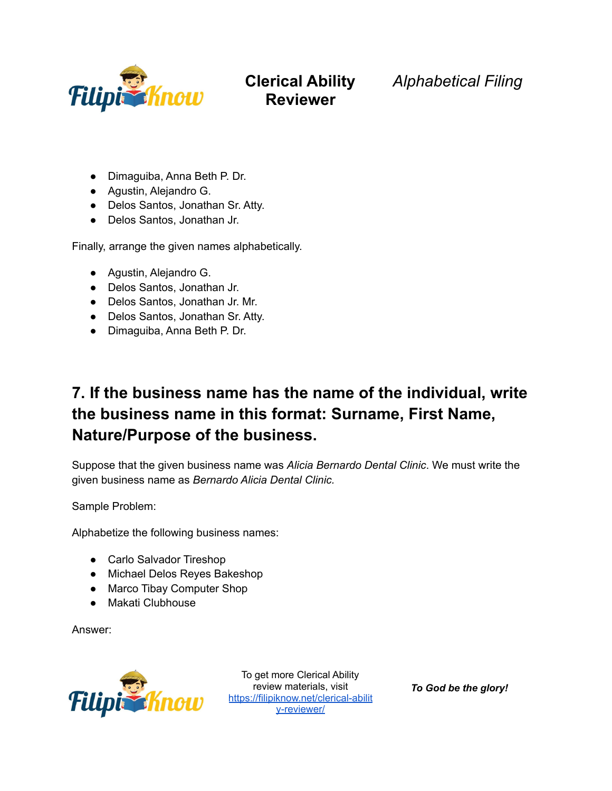

### **Clerical Ability Reviewer**

*Alphabetical Filing*

- Dimaguiba, Anna Beth P. Dr.
- Agustin, Alejandro G.
- Delos Santos, Jonathan Sr. Atty.
- Delos Santos, Jonathan Jr.

Finally, arrange the given names alphabetically.

- Agustin, Alejandro G.
- Delos Santos, Jonathan Jr.
- Delos Santos, Jonathan Jr. Mr.
- Delos Santos, Jonathan Sr. Atty.
- Dimaguiba, Anna Beth P. Dr.

## **7. If the business name has the name of the individual, write the business name in this format: Surname, First Name, Nature/Purpose of the business.**

Suppose that the given business name was *Alicia Bernardo Dental Clinic*. We must write the given business name as *Bernardo Alicia Dental Clinic.*

Sample Problem:

Alphabetize the following business names:

- Carlo Salvador Tireshop
- Michael Delos Reyes Bakeshop
- Marco Tibay Computer Shop
- Makati Clubhouse

Answer:



To get more Clerical Ability review materials, visit [https://filipiknow.net/clerical-abilit](https://filipiknow.net/clerical-ability-reviewer/) [y-reviewer/](https://filipiknow.net/clerical-ability-reviewer/)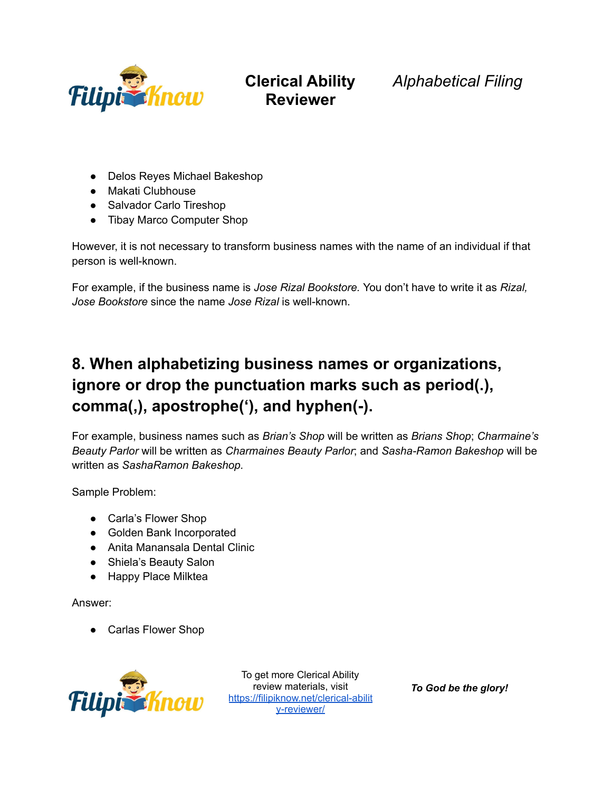

**Clerical Ability** *Alphabetical Filing*

- Delos Reyes Michael Bakeshop
- Makati Clubhouse
- Salvador Carlo Tireshop
- Tibay Marco Computer Shop

However, it is not necessary to transform business names with the name of an individual if that person is well-known.

For example, if the business name is *Jose Rizal Bookstore.* You don't have to write it as *Rizal, Jose Bookstore* since the name *Jose Rizal* is well-known.

## **8. When alphabetizing business names or organizations, ignore or drop the punctuation marks such as period(.), comma(,), apostrophe('), and hyphen(-).**

For example, business names such as *Brian's Shop* will be written as *Brians Shop*; *Charmaine's Beauty Parlor* will be written as *Charmaines Beauty Parlor*; and *Sasha-Ramon Bakeshop* will be written as *SashaRamon Bakeshop.*

Sample Problem:

- Carla's Flower Shop
- Golden Bank Incorporated
- Anita Manansala Dental Clinic
- Shiela's Beauty Salon
- Happy Place Milktea

Answer:

● Carlas Flower Shop



To get more Clerical Ability review materials, visit [https://filipiknow.net/clerical-abilit](https://filipiknow.net/clerical-ability-reviewer/) [y-reviewer/](https://filipiknow.net/clerical-ability-reviewer/)